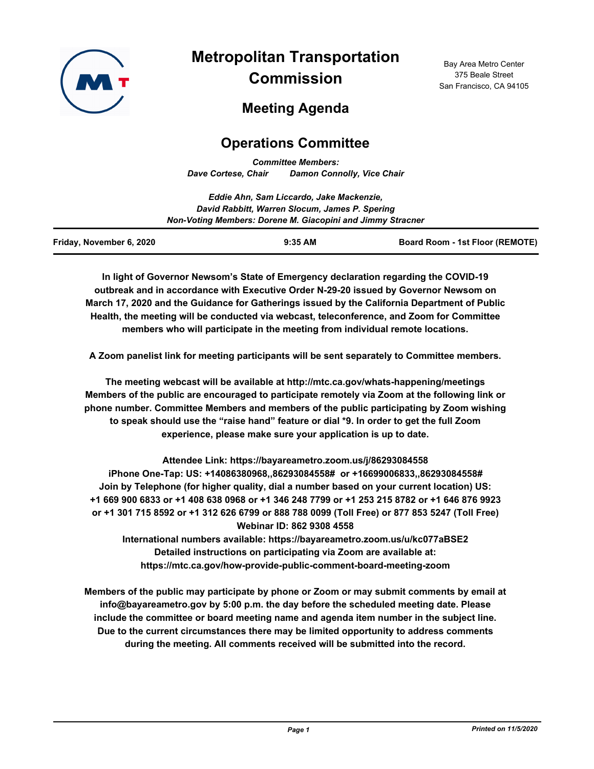

# **Metropolitan Transportation Commission**

Bay Area Metro Center 375 Beale Street San Francisco, CA 94105

# **Meeting Agenda**

## **Operations Committee**

*Committee Members: Dave Cortese, Chair Damon Connolly, Vice Chair*

|                                                            | Eddie Ahn, Sam Liccardo, Jake Mackenzie,       |                                        |  |
|------------------------------------------------------------|------------------------------------------------|----------------------------------------|--|
|                                                            | David Rabbitt, Warren Slocum, James P. Spering |                                        |  |
| Non-Voting Members: Dorene M. Giacopini and Jimmy Stracner |                                                |                                        |  |
| Friday, November 6, 2020                                   | $9:35$ AM                                      | <b>Board Room - 1st Floor (REMOTE)</b> |  |

**In light of Governor Newsom's State of Emergency declaration regarding the COVID-19 outbreak and in accordance with Executive Order N-29-20 issued by Governor Newsom on March 17, 2020 and the Guidance for Gatherings issued by the California Department of Public Health, the meeting will be conducted via webcast, teleconference, and Zoom for Committee members who will participate in the meeting from individual remote locations.**

**A Zoom panelist link for meeting participants will be sent separately to Committee members.**

**The meeting webcast will be available at http://mtc.ca.gov/whats-happening/meetings Members of the public are encouraged to participate remotely via Zoom at the following link or phone number. Committee Members and members of the public participating by Zoom wishing to speak should use the "raise hand" feature or dial \*9. In order to get the full Zoom experience, please make sure your application is up to date.**

**Attendee Link: https://bayareametro.zoom.us/j/86293084558 iPhone One-Tap: US: +14086380968,,86293084558# or +16699006833,,86293084558# Join by Telephone (for higher quality, dial a number based on your current location) US: +1 669 900 6833 or +1 408 638 0968 or +1 346 248 7799 or +1 253 215 8782 or +1 646 876 9923 or +1 301 715 8592 or +1 312 626 6799 or 888 788 0099 (Toll Free) or 877 853 5247 (Toll Free) Webinar ID: 862 9308 4558 International numbers available: https://bayareametro.zoom.us/u/kc077aBSE2**

**Detailed instructions on participating via Zoom are available at: https://mtc.ca.gov/how-provide-public-comment-board-meeting-zoom**

**Members of the public may participate by phone or Zoom or may submit comments by email at info@bayareametro.gov by 5:00 p.m. the day before the scheduled meeting date. Please include the committee or board meeting name and agenda item number in the subject line. Due to the current circumstances there may be limited opportunity to address comments during the meeting. All comments received will be submitted into the record.**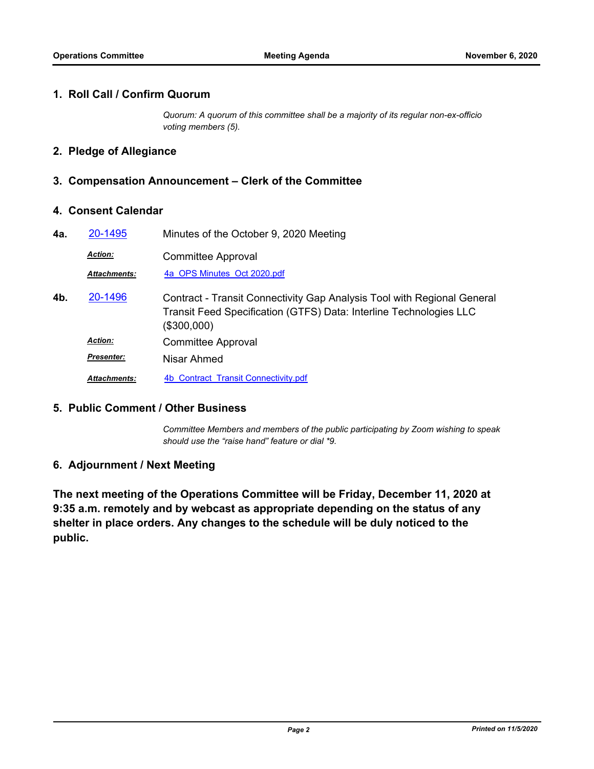#### **1. Roll Call / Confirm Quorum**

*Quorum: A quorum of this committee shall be a majority of its regular non-ex-officio voting members (5).*

#### **2. Pledge of Allegiance**

### **3. Compensation Announcement – Clerk of the Committee**

#### **4. Consent Calendar**

| 4a. | 20-1495             | Minutes of the October 9, 2020 Meeting                                                                                                                       |
|-----|---------------------|--------------------------------------------------------------------------------------------------------------------------------------------------------------|
|     | <b>Action:</b>      | <b>Committee Approval</b>                                                                                                                                    |
|     | <b>Attachments:</b> | 4a OPS Minutes Oct 2020.pdf                                                                                                                                  |
| 4b. | 20-1496             | Contract - Transit Connectivity Gap Analysis Tool with Regional General<br>Transit Feed Specification (GTFS) Data: Interline Technologies LLC<br>(\$300,000) |
|     | <b>Action:</b>      | <b>Committee Approval</b>                                                                                                                                    |
|     | <b>Presenter:</b>   | Nisar Ahmed                                                                                                                                                  |
|     | <b>Attachments:</b> | 4b Contract Transit Connectivity.pdf                                                                                                                         |

#### **5. Public Comment / Other Business**

*Committee Members and members of the public participating by Zoom wishing to speak should use the "raise hand" feature or dial \*9.*

### **6. Adjournment / Next Meeting**

**The next meeting of the Operations Committee will be Friday, December 11, 2020 at 9:35 a.m. remotely and by webcast as appropriate depending on the status of any shelter in place orders. Any changes to the schedule will be duly noticed to the public.**